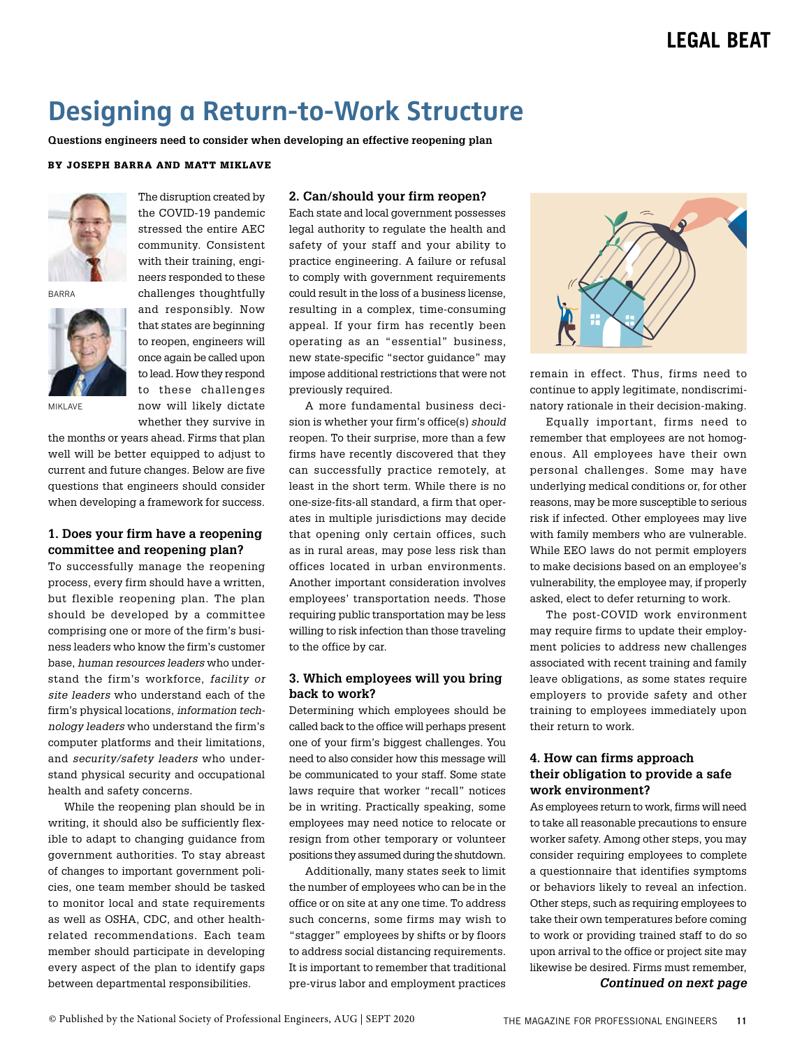# **Designing a Return-to-Work Structure**

**Questions engineers need to consider when developing an effective reopening plan**

#### BY JOSEPH BARRA AND MATT MIKLAVE



BARRA



stressed the entire AEC community. Consistent with their training, engineers responded to these challenges thoughtfully and responsibly. Now that states are beginning to reopen, engineers will once again be called upon to lead. How they respond to these challenges now will likely dictate whether they survive in

The disruption created by the COVID-19 pandemic

MIKI AVF

the months or years ahead. Firms that plan well will be better equipped to adjust to current and future changes. Below are five questions that engineers should consider when developing a framework for success.

# **1. Does your firm have a reopening committee and reopening plan?**

To successfully manage the reopening process, every firm should have a written, but flexible reopening plan. The plan should be developed by a committee comprising one or more of the firm's business leaders who know the firm's customer base, *human resources leaders* who understand the firm's workforce, *facility or site leaders* who understand each of the firm's physical locations, *information technology leaders* who understand the firm's computer platforms and their limitations, and *security/safety leaders* who understand physical security and occupational health and safety concerns.

While the reopening plan should be in writing, it should also be sufficiently flexible to adapt to changing guidance from government authorities. To stay abreast of changes to important government policies, one team member should be tasked to monitor local and state requirements as well as OSHA, CDC, and other healthrelated recommendations. Each team member should participate in developing every aspect of the plan to identify gaps between departmental responsibilities.

### **2. Can/should your firm reopen?**

Each state and local government possesses legal authority to regulate the health and safety of your staff and your ability to practice engineering. A failure or refusal to comply with government requirements could result in the loss of a business license, resulting in a complex, time-consuming appeal. If your firm has recently been operating as an "essential" business, new state-specific "sector guidance" may impose additional restrictions that were not previously required.

A more fundamental business decision is whether your firm's office(s) *should* reopen. To their surprise, more than a few firms have recently discovered that they can successfully practice remotely, at least in the short term. While there is no one-size-fits-all standard, a firm that operates in multiple jurisdictions may decide that opening only certain offices, such as in rural areas, may pose less risk than offices located in urban environments. Another important consideration involves employees' transportation needs. Those requiring public transportation may be less willing to risk infection than those traveling to the office by car.

### **3. Which employees will you bring back to work?**

Determining which employees should be called back to the office will perhaps present one of your firm's biggest challenges. You need to also consider how this message will be communicated to your staff. Some state laws require that worker "recall" notices be in writing. Practically speaking, some employees may need notice to relocate or resign from other temporary or volunteer positions they assumed during the shutdown.

Additionally, many states seek to limit the number of employees who can be in the office or on site at any one time. To address such concerns, some firms may wish to "stagger" employees by shifts or by floors to address social distancing requirements. It is important to remember that traditional pre-virus labor and employment practices



remain in effect. Thus, firms need to continue to apply legitimate, nondiscriminatory rationale in their decision-making.

Equally important, firms need to remember that employees are not homogenous. All employees have their own personal challenges. Some may have underlying medical conditions or, for other reasons, may be more susceptible to serious risk if infected. Other employees may live with family members who are vulnerable. While EEO laws do not permit employers to make decisions based on an employee's vulnerability, the employee may, if properly asked, elect to defer returning to work.

The post-COVID work environment may require firms to update their employment policies to address new challenges associated with recent training and family leave obligations, as some states require employers to provide safety and other training to employees immediately upon their return to work.

# **4. How can firms approach their obligation to provide a safe work environment?**

As employees return to work, firms will need to take all reasonable precautions to ensure worker safety. Among other steps, you may consider requiring employees to complete a questionnaire that identifies symptoms or behaviors likely to reveal an infection. Other steps, such as requiring employees to take their own temperatures before coming to work or providing trained staff to do so upon arrival to the office or project site may likewise be desired. Firms must remember, *Continued on next page*